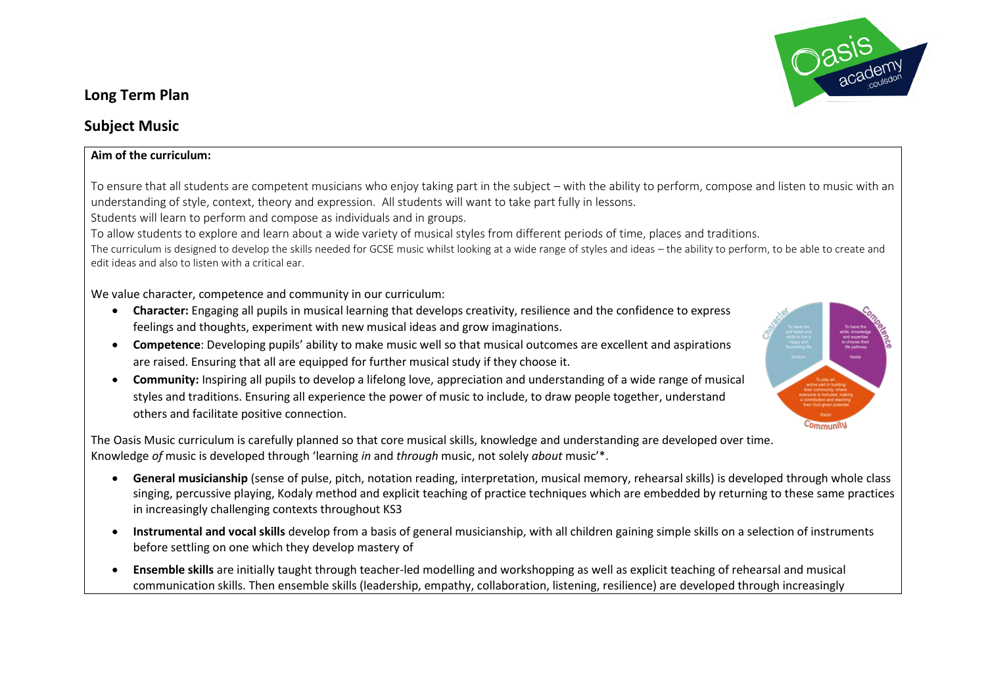

## **Long Term Plan**

## **Subject Music**

## **Aim of the curriculum:**

To ensure that all students are competent musicians who enjoy taking part in the subject – with the ability to perform, compose and listen to music with an understanding of style, context, theory and expression. All students will want to take part fully in lessons.

Students will learn to perform and compose as individuals and in groups.

To allow students to explore and learn about a wide variety of musical styles from different periods of time, places and traditions.

The curriculum is designed to develop the skills needed for GCSE music whilst looking at a wide range of styles and ideas – the ability to perform, to be able to create and edit ideas and also to listen with a critical ear.

We value character, competence and community in our curriculum:

- **Character:** Engaging all pupils in musical learning that develops creativity, resilience and the confidence to express feelings and thoughts, experiment with new musical ideas and grow imaginations.
- **Competence**: Developing pupils' ability to make music well so that musical outcomes are excellent and aspirations are raised. Ensuring that all are equipped for further musical study if they choose it.
- **Community:** Inspiring all pupils to develop a lifelong love, appreciation and understanding of a wide range of musical styles and traditions. Ensuring all experience the power of music to include, to draw people together, understand others and facilitate positive connection.



- **General musicianship** (sense of pulse, pitch, notation reading, interpretation, musical memory, rehearsal skills) is developed through whole class singing, percussive playing, Kodaly method and explicit teaching of practice techniques which are embedded by returning to these same practices in increasingly challenging contexts throughout KS3
- **Instrumental and vocal skills** develop from a basis of general musicianship, with all children gaining simple skills on a selection of instruments before settling on one which they develop mastery of
- **Ensemble skills** are initially taught through teacher-led modelling and workshopping as well as explicit teaching of rehearsal and musical communication skills. Then ensemble skills (leadership, empathy, collaboration, listening, resilience) are developed through increasingly

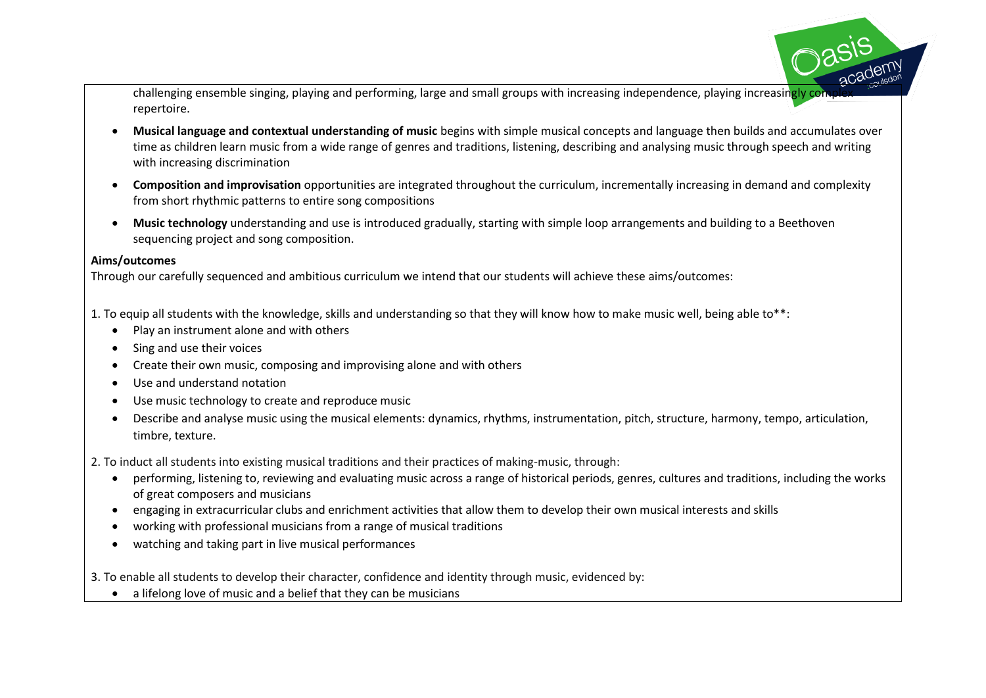challenging ensemble singing, playing and performing, large and small groups with increasing independence, playing increasingly complexity repertoire.

- Musical language and contextual understanding of music begins with simple musical concepts and language then builds and accumulates over time as children learn music from a wide range of genres and traditions, listening, describing and analysing music through speech and writing with increasing discrimination
- **Composition and improvisation** opportunities are integrated throughout the curriculum, incrementally increasing in demand and complexity from short rhythmic patterns to entire song compositions
- **Music technology** understanding and use is introduced gradually, starting with simple loop arrangements and building to a Beethoven sequencing project and song composition.

## **Aims/outcomes**

Through our carefully sequenced and ambitious curriculum we intend that our students will achieve these aims/outcomes:

- 1. To equip all students with the knowledge, skills and understanding so that they will know how to make music well, being able to\*\*:
	- Play an instrument alone and with others
	- Sing and use their voices
	- Create their own music, composing and improvising alone and with others
	- Use and understand notation
	- Use music technology to create and reproduce music
	- Describe and analyse music using the musical elements: dynamics, rhythms, instrumentation, pitch, structure, harmony, tempo, articulation, timbre, texture.

2. To induct all students into existing musical traditions and their practices of making-music, through:

- performing, listening to, reviewing and evaluating music across a range of historical periods, genres, cultures and traditions, including the works of great composers and musicians
- engaging in extracurricular clubs and enrichment activities that allow them to develop their own musical interests and skills
- working with professional musicians from a range of musical traditions
- watching and taking part in live musical performances

3. To enable all students to develop their character, confidence and identity through music, evidenced by:

• a lifelong love of music and a belief that they can be musicians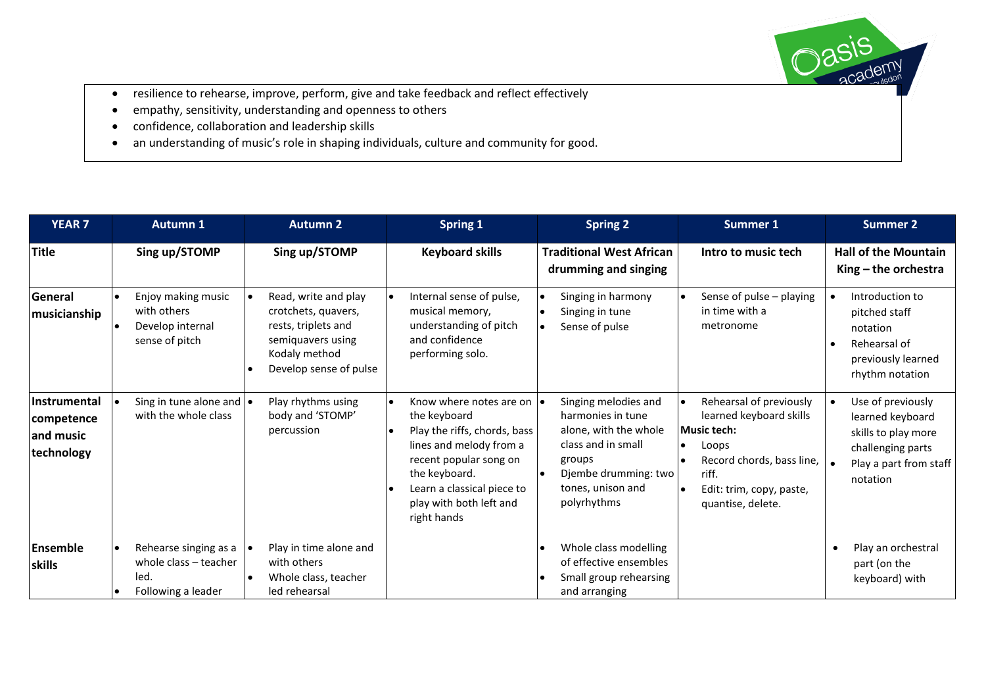- resilience to rehearse, improve, perform, give and take feedback and reflect effectively
- empathy, sensitivity, understanding and openness to others
- confidence, collaboration and leadership skills
- an understanding of music's role in shaping individuals, culture and community for good.

| <b>YEAR 7</b>                                                | <b>Autumn 1</b>                                                              | <b>Autumn 2</b>                                                                                                                    | Spring 1                                                                                                                                                                                                                 |                        | <b>Spring 2</b>                                                                                                                                                |  | Summer 1                                                                                                                                                                 |  | <b>Summer 2</b>                                                                                                         |
|--------------------------------------------------------------|------------------------------------------------------------------------------|------------------------------------------------------------------------------------------------------------------------------------|--------------------------------------------------------------------------------------------------------------------------------------------------------------------------------------------------------------------------|------------------------|----------------------------------------------------------------------------------------------------------------------------------------------------------------|--|--------------------------------------------------------------------------------------------------------------------------------------------------------------------------|--|-------------------------------------------------------------------------------------------------------------------------|
| Title                                                        | Sing up/STOMP                                                                | Sing up/STOMP                                                                                                                      | <b>Keyboard skills</b>                                                                                                                                                                                                   |                        | <b>Traditional West African</b><br>drumming and singing                                                                                                        |  | Intro to music tech                                                                                                                                                      |  | <b>Hall of the Mountain</b><br>$King$ – the orchestra                                                                   |
| General<br>musicianship                                      | Enjoy making music<br>with others<br>Develop internal<br>sense of pitch      | Read, write and play<br>crotchets, quavers,<br>rests, triplets and<br>semiguavers using<br>Kodaly method<br>Develop sense of pulse | Internal sense of pulse,<br>musical memory,<br>understanding of pitch<br>and confidence<br>performing solo.                                                                                                              | $\bullet$<br>$\bullet$ | Singing in harmony<br>Singing in tune<br>Sense of pulse                                                                                                        |  | Sense of pulse - playing<br>in time with a<br>metronome                                                                                                                  |  | Introduction to<br>pitched staff<br>notation<br>Rehearsal of<br>previously learned<br>rhythm notation                   |
| <b>Instrumental</b><br>competence<br>and music<br>technology | Sing in tune alone and $\bullet$<br>with the whole class                     | Play rhythms using<br>body and 'STOMP'<br>percussion                                                                               | Know where notes are on  .<br>the keyboard<br>Play the riffs, chords, bass<br>lines and melody from a<br>recent popular song on<br>the keyboard.<br>Learn a classical piece to<br>play with both left and<br>right hands |                        | Singing melodies and<br>harmonies in tune<br>alone, with the whole<br>class and in small<br>groups<br>Djembe drumming: two<br>tones, unison and<br>polyrhythms |  | Rehearsal of previously<br>learned keyboard skills<br><b>Music tech:</b><br>Loops<br>Record chords, bass line,<br>riff.<br>Edit: trim, copy, paste,<br>quantise, delete. |  | Use of previously<br>learned keyboard<br>skills to play more<br>challenging parts<br>Play a part from staff<br>notation |
| Ensemble<br>skills                                           | Rehearse singing as a<br>whole class - teacher<br>led.<br>Following a leader | Play in time alone and<br>with others<br>Whole class, teacher<br>led rehearsal                                                     |                                                                                                                                                                                                                          |                        | Whole class modelling<br>of effective ensembles<br>Small group rehearsing<br>and arranging                                                                     |  |                                                                                                                                                                          |  | Play an orchestral<br>part (on the<br>keyboard) with                                                                    |

academy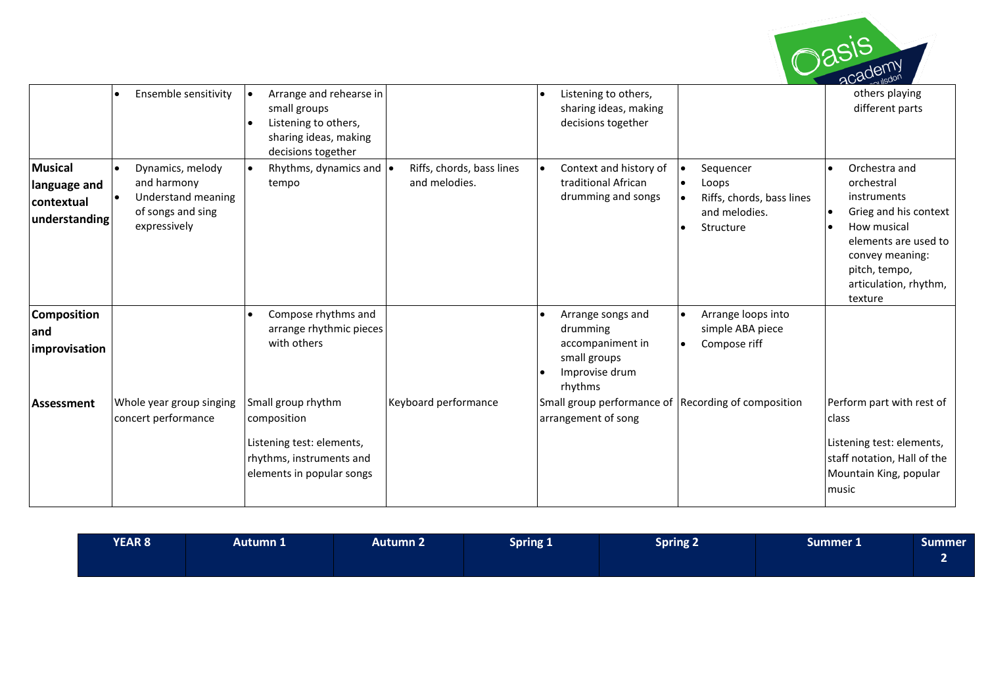

|                                                               | Ensemble sensitivity                                                                       | Arrange and rehearse in<br>small groups<br>Listening to others,<br>sharing ideas, making<br>decisions together          |                                            | Listening to others,<br>sharing ideas, making<br>decisions together                            |                                                                                                         | others playing<br>different parts                                                                                                                                                  |
|---------------------------------------------------------------|--------------------------------------------------------------------------------------------|-------------------------------------------------------------------------------------------------------------------------|--------------------------------------------|------------------------------------------------------------------------------------------------|---------------------------------------------------------------------------------------------------------|------------------------------------------------------------------------------------------------------------------------------------------------------------------------------------|
| <b>Musical</b><br>language and<br>contextual<br>understanding | Dynamics, melody<br>and harmony<br>Understand meaning<br>of songs and sing<br>expressively | Rhythms, dynamics and $\bullet$<br>tempo                                                                                | Riffs, chords, bass lines<br>and melodies. | Context and history of<br>traditional African<br>drumming and songs                            | Sequencer<br>$\bullet$<br>Loops<br>$\bullet$<br>Riffs, chords, bass lines<br>and melodies.<br>Structure | Orchestra and<br>orchestral<br>instruments<br>Grieg and his context<br>How musical<br>elements are used to<br>convey meaning:<br>pitch, tempo,<br>articulation, rhythm,<br>texture |
| <b>Composition</b><br>and<br>improvisation                    |                                                                                            | Compose rhythms and<br>arrange rhythmic pieces<br>with others                                                           |                                            | Arrange songs and<br>drumming<br>accompaniment in<br>small groups<br>Improvise drum<br>rhythms | Arrange loops into<br>$\bullet$<br>simple ABA piece<br>Compose riff                                     |                                                                                                                                                                                    |
| <b>Assessment</b>                                             | Whole year group singing<br>concert performance                                            | Small group rhythm<br>composition<br>Listening test: elements,<br>rhythms, instruments and<br>elements in popular songs | Keyboard performance                       | Small group performance of<br>arrangement of song                                              | Recording of composition                                                                                | Perform part with rest of<br>class<br>Listening test: elements,<br>staff notation, Hall of the<br>Mountain King, popular<br>music                                                  |

| <b>YEAR 8</b> | Autumn 1 | Autumn 2' | Spring 1 | <b>Spring 2</b> | Summer 1 | <b>Summer</b> |
|---------------|----------|-----------|----------|-----------------|----------|---------------|
|               |          |           |          |                 |          |               |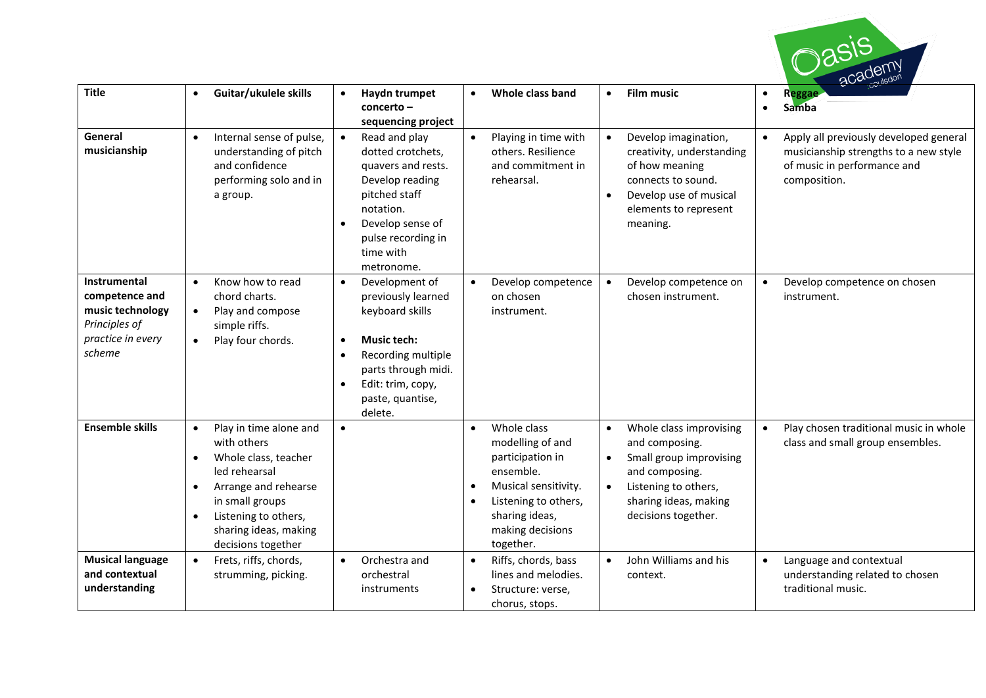

| <b>Title</b>                                                                                              | Guitar/ukulele skills                                                                                                                                                                                                                        | Haydn trumpet<br>$\bullet$<br>concerto-<br>sequencing project                                                                                                                                                              | Whole class band                                                                                                                                                                 | <b>Film music</b><br>$\bullet$                                                                                                                                                                        | Reggae<br>Samba<br>$\bullet$                                                                                                   |
|-----------------------------------------------------------------------------------------------------------|----------------------------------------------------------------------------------------------------------------------------------------------------------------------------------------------------------------------------------------------|----------------------------------------------------------------------------------------------------------------------------------------------------------------------------------------------------------------------------|----------------------------------------------------------------------------------------------------------------------------------------------------------------------------------|-------------------------------------------------------------------------------------------------------------------------------------------------------------------------------------------------------|--------------------------------------------------------------------------------------------------------------------------------|
| General<br>musicianship                                                                                   | Internal sense of pulse,<br>$\bullet$<br>understanding of pitch<br>and confidence<br>performing solo and in<br>a group.                                                                                                                      | $\bullet$<br>Read and play<br>dotted crotchets,<br>quavers and rests.<br>Develop reading<br>pitched staff<br>notation.<br>Develop sense of<br>$\bullet$<br>pulse recording in<br>time with<br>metronome.                   | Playing in time with<br>$\bullet$<br>others. Resilience<br>and commitment in<br>rehearsal.                                                                                       | $\bullet$<br>Develop imagination,<br>creativity, understanding<br>of how meaning<br>connects to sound.<br>Develop use of musical<br>$\bullet$<br>elements to represent<br>meaning.                    | Apply all previously developed general<br>musicianship strengths to a new style<br>of music in performance and<br>composition. |
| <b>Instrumental</b><br>competence and<br>music technology<br>Principles of<br>practice in every<br>scheme | Know how to read<br>$\bullet$<br>chord charts.<br>Play and compose<br>$\bullet$<br>simple riffs.<br>Play four chords.                                                                                                                        | Development of<br>$\bullet$<br>previously learned<br>keyboard skills<br><b>Music tech:</b><br>$\bullet$<br>Recording multiple<br>٠<br>parts through midi.<br>Edit: trim, copy,<br>$\bullet$<br>paste, quantise,<br>delete. | Develop competence<br>$\bullet$<br>on chosen<br>instrument.                                                                                                                      | Develop competence on<br>$\bullet$<br>chosen instrument.                                                                                                                                              | Develop competence on chosen<br>$\bullet$<br>instrument.                                                                       |
| <b>Ensemble skills</b>                                                                                    | Play in time alone and<br>$\bullet$<br>with others<br>Whole class, teacher<br>$\bullet$<br>led rehearsal<br>Arrange and rehearse<br>٠<br>in small groups<br>Listening to others,<br>$\bullet$<br>sharing ideas, making<br>decisions together | $\bullet$                                                                                                                                                                                                                  | Whole class<br>$\bullet$<br>modelling of and<br>participation in<br>ensemble.<br>Musical sensitivity.<br>Listening to others,<br>sharing ideas,<br>making decisions<br>together. | Whole class improvising<br>$\bullet$<br>and composing.<br>Small group improvising<br>$\bullet$<br>and composing.<br>Listening to others,<br>$\bullet$<br>sharing ideas, making<br>decisions together. | Play chosen traditional music in whole<br>$\bullet$<br>class and small group ensembles.                                        |
| <b>Musical language</b><br>and contextual<br>understanding                                                | Frets, riffs, chords,<br>$\bullet$<br>strumming, picking.                                                                                                                                                                                    | Orchestra and<br>$\bullet$<br>orchestral<br>instruments                                                                                                                                                                    | Riffs, chords, bass<br>$\bullet$<br>lines and melodies.<br>Structure: verse,<br>chorus, stops.                                                                                   | John Williams and his<br>$\bullet$<br>context.                                                                                                                                                        | Language and contextual<br>understanding related to chosen<br>traditional music.                                               |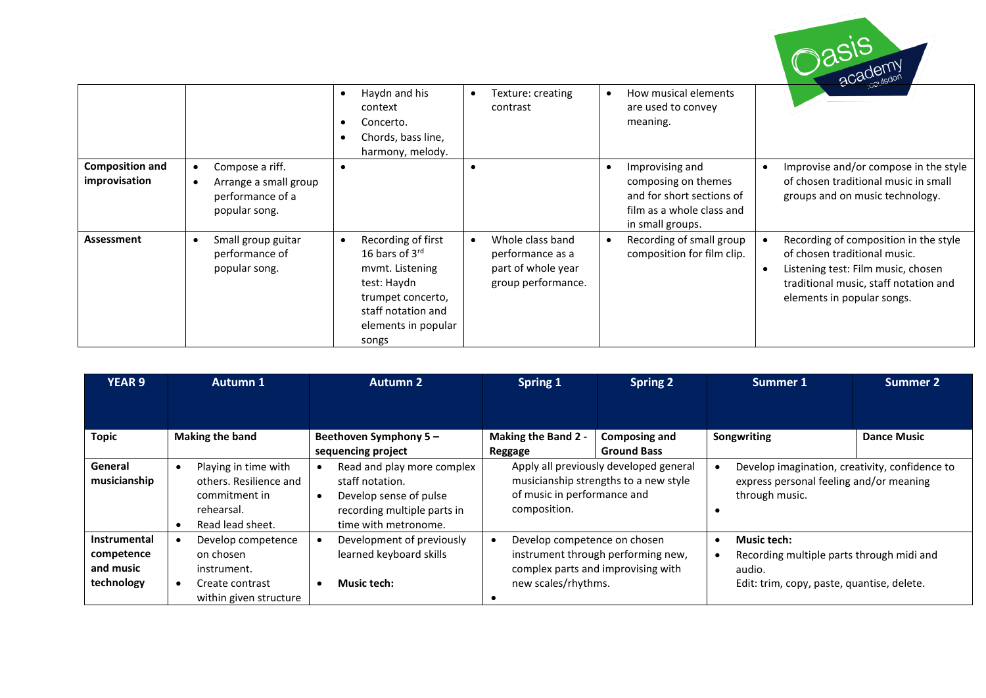

|                                         |                                                                               | $\bullet$ | Haydn and his<br>context<br>Concerto.<br>Chords, bass line,<br>harmony, melody.                                                                               | Texture: creating<br>contrast                                                    |           | How musical elements<br>are used to convey<br>meaning.                                                               |                                                                                                                                                                                    |
|-----------------------------------------|-------------------------------------------------------------------------------|-----------|---------------------------------------------------------------------------------------------------------------------------------------------------------------|----------------------------------------------------------------------------------|-----------|----------------------------------------------------------------------------------------------------------------------|------------------------------------------------------------------------------------------------------------------------------------------------------------------------------------|
| <b>Composition and</b><br>improvisation | Compose a riff.<br>Arrange a small group<br>performance of a<br>popular song. |           |                                                                                                                                                               |                                                                                  |           | Improvising and<br>composing on themes<br>and for short sections of<br>film as a whole class and<br>in small groups. | Improvise and/or compose in the style<br>of chosen traditional music in small<br>groups and on music technology.                                                                   |
| Assessment                              | Small group guitar<br>performance of<br>popular song.                         | $\bullet$ | Recording of first<br>16 bars of $3^{\text{rd}}$<br>mymt. Listening<br>test: Haydn<br>trumpet concerto,<br>staff notation and<br>elements in popular<br>songs | Whole class band<br>performance as a<br>part of whole year<br>group performance. | $\bullet$ | Recording of small group<br>composition for film clip.                                                               | Recording of composition in the style<br>of chosen traditional music.<br>Listening test: Film music, chosen<br>traditional music, staff notation and<br>elements in popular songs. |

| <b>YEAR 9</b>                                                | <b>Autumn 1</b>                                                                                   | <b>Autumn 2</b>                                                                                                                | <b>Spring 1</b><br><b>Spring 2</b>                                                                                                   |                                                                                 | Summer 1                                                                                                                | Summer 2           |  |
|--------------------------------------------------------------|---------------------------------------------------------------------------------------------------|--------------------------------------------------------------------------------------------------------------------------------|--------------------------------------------------------------------------------------------------------------------------------------|---------------------------------------------------------------------------------|-------------------------------------------------------------------------------------------------------------------------|--------------------|--|
|                                                              |                                                                                                   |                                                                                                                                |                                                                                                                                      |                                                                                 |                                                                                                                         |                    |  |
| <b>Topic</b>                                                 | <b>Making the band</b>                                                                            | Beethoven Symphony 5-<br>sequencing project                                                                                    | <b>Making the Band 2 -</b><br><b>Composing and</b><br><b>Ground Bass</b><br>Reggage                                                  |                                                                                 | Songwriting                                                                                                             | <b>Dance Music</b> |  |
| General<br>musicianship                                      | Playing in time with<br>others. Resilience and<br>commitment in<br>rehearsal.<br>Read lead sheet. | Read and play more complex<br>staff notation.<br>Develop sense of pulse<br>recording multiple parts in<br>time with metronome. | of music in performance and<br>composition.                                                                                          | Apply all previously developed general<br>musicianship strengths to a new style | Develop imagination, creativity, confidence to<br>express personal feeling and/or meaning<br>through music.             |                    |  |
| <b>Instrumental</b><br>competence<br>and music<br>technology | Develop competence<br>on chosen<br>instrument.<br>Create contrast<br>within given structure       | Development of previously<br>learned keyboard skills<br><b>Music tech:</b>                                                     | Develop competence on chosen<br>٠<br>instrument through performing new,<br>complex parts and improvising with<br>new scales/rhythms. |                                                                                 | <b>Music tech:</b><br>Recording multiple parts through midi and<br>audio.<br>Edit: trim, copy, paste, quantise, delete. |                    |  |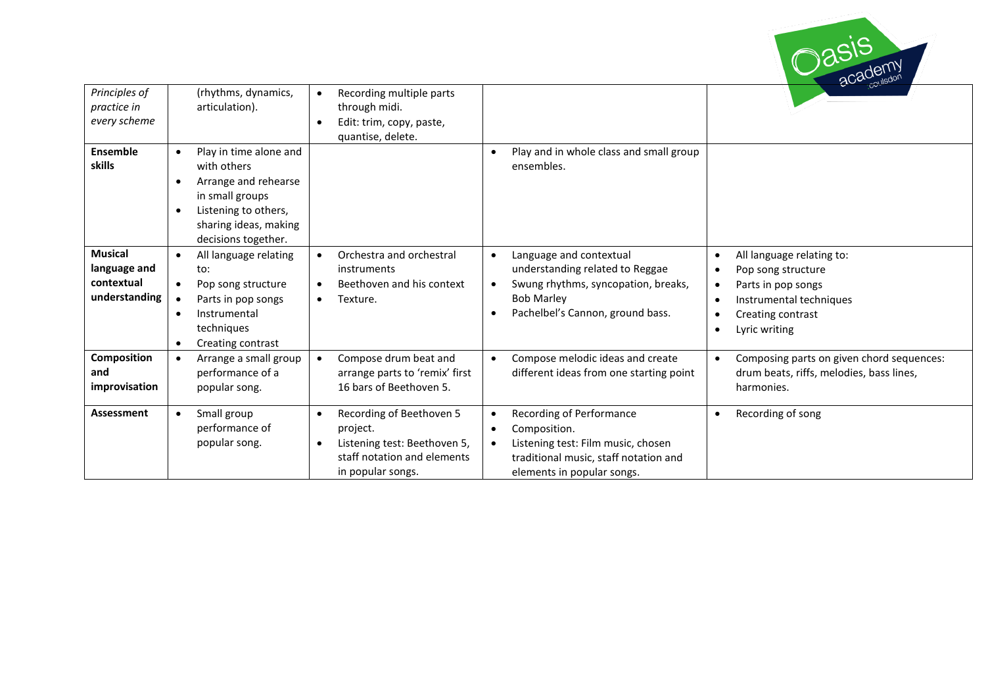

| Principles of<br>practice in<br>every scheme                  | (rhythms, dynamics,<br>articulation).                                                                                                                                              | Recording multiple parts<br>through midi.<br>Edit: trim, copy, paste,<br>quantise, delete.                                            |                                                                                                                                                                                                   |                                                                                                                                                                                                                      |
|---------------------------------------------------------------|------------------------------------------------------------------------------------------------------------------------------------------------------------------------------------|---------------------------------------------------------------------------------------------------------------------------------------|---------------------------------------------------------------------------------------------------------------------------------------------------------------------------------------------------|----------------------------------------------------------------------------------------------------------------------------------------------------------------------------------------------------------------------|
| <b>Ensemble</b><br>skills                                     | Play in time alone and<br>with others<br>Arrange and rehearse<br>$\bullet$<br>in small groups<br>Listening to others,<br>$\bullet$<br>sharing ideas, making<br>decisions together. |                                                                                                                                       | Play and in whole class and small group<br>$\bullet$<br>ensembles.                                                                                                                                |                                                                                                                                                                                                                      |
| <b>Musical</b><br>language and<br>contextual<br>understanding | All language relating<br>$\bullet$<br>to:<br>Pop song structure<br>$\bullet$<br>Parts in pop songs<br>$\bullet$<br>Instrumental<br>techniques<br>Creating contrast<br>$\bullet$    | Orchestra and orchestral<br>instruments<br>Beethoven and his context<br>Texture.<br>$\bullet$                                         | Language and contextual<br>$\bullet$<br>understanding related to Reggae<br>Swung rhythms, syncopation, breaks,<br>$\bullet$<br><b>Bob Marley</b><br>Pachelbel's Cannon, ground bass.<br>$\bullet$ | All language relating to:<br>$\bullet$<br>Pop song structure<br>$\bullet$<br>Parts in pop songs<br>$\bullet$<br>Instrumental techniques<br>$\bullet$<br>Creating contrast<br>$\bullet$<br>Lyric writing<br>$\bullet$ |
| <b>Composition</b><br>and<br>improvisation                    | Arrange a small group<br>$\bullet$<br>performance of a<br>popular song.                                                                                                            | Compose drum beat and<br>arrange parts to 'remix' first<br>16 bars of Beethoven 5.                                                    | Compose melodic ideas and create<br>$\bullet$<br>different ideas from one starting point                                                                                                          | Composing parts on given chord sequences:<br>drum beats, riffs, melodies, bass lines,<br>harmonies.                                                                                                                  |
| Assessment                                                    | Small group<br>$\bullet$<br>performance of<br>popular song.                                                                                                                        | Recording of Beethoven 5<br>project.<br>Listening test: Beethoven 5,<br>$\bullet$<br>staff notation and elements<br>in popular songs. | Recording of Performance<br>$\bullet$<br>Composition.<br>$\bullet$<br>Listening test: Film music, chosen<br>$\bullet$<br>traditional music, staff notation and<br>elements in popular songs.      | Recording of song<br>$\bullet$                                                                                                                                                                                       |